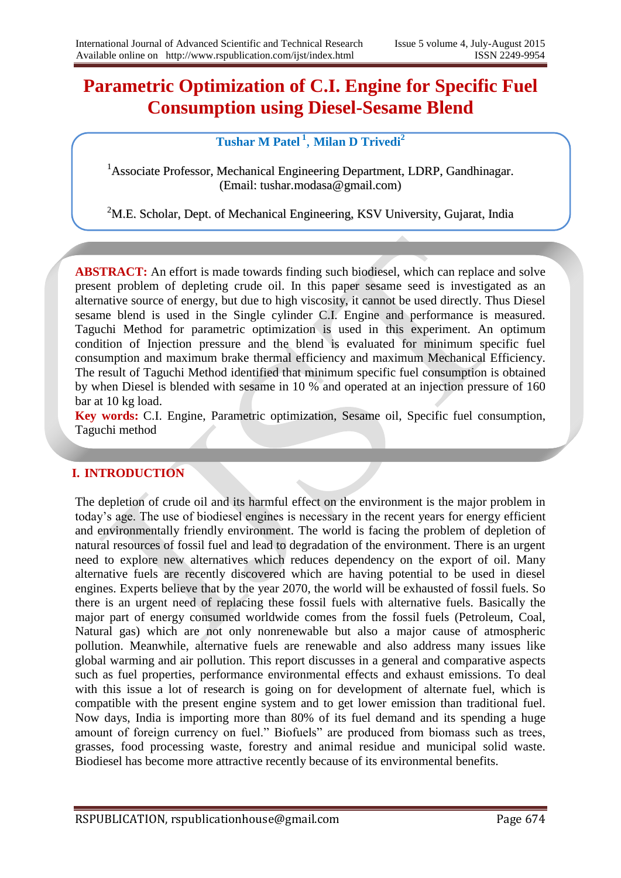# **Parametric Optimization of C.I. Engine for Specific Fuel Consumption using Diesel-Sesame Blend**

## **Tushar M Patel <sup>1</sup>** , **Milan D Trivedi<sup>2</sup>**

<sup>1</sup>Associate Professor, Mechanical Engineering Department, LDRP, Gandhinagar. (Email: tushar.modasa@gmail.com)

 $2^2$ M.E. Scholar, Dept. of Mechanical Engineering, KSV University, Gujarat, India

**ABSTRACT:** An effort is made towards finding such biodiesel, which can replace and solve present problem of depleting crude oil. In this paper sesame seed is investigated as an alternative source of energy, but due to high viscosity, it cannot be used directly. Thus Diesel sesame blend is used in the Single cylinder C.I. Engine and performance is measured. Taguchi Method for parametric optimization is used in this experiment. An optimum condition of Injection pressure and the blend is evaluated for minimum specific fuel consumption and maximum brake thermal efficiency and maximum Mechanical Efficiency. The result of Taguchi Method identified that minimum specific fuel consumption is obtained by when Diesel is blended with sesame in 10 % and operated at an injection pressure of 160 bar at 10 kg load.

**Key words:** C.I. Engine, Parametric optimization, Sesame oil, Specific fuel consumption, Taguchi method

## **I. INTRODUCTION**

The depletion of crude oil and its harmful effect on the environment is the major problem in today's age. The use of biodiesel engines is necessary in the recent years for energy efficient and environmentally friendly environment. The world is facing the problem of depletion of natural resources of fossil fuel and lead to degradation of the environment. There is an urgent need to explore new alternatives which reduces dependency on the export of oil. Many alternative fuels are recently discovered which are having potential to be used in diesel engines. Experts believe that by the year 2070, the world will be exhausted of fossil fuels. So there is an urgent need of replacing these fossil fuels with alternative fuels. Basically the major part of energy consumed worldwide comes from the fossil fuels (Petroleum, Coal, Natural gas) which are not only nonrenewable but also a major cause of atmospheric pollution. Meanwhile, alternative fuels are renewable and also address many issues like global warming and air pollution. This report discusses in a general and comparative aspects such as fuel properties, performance environmental effects and exhaust emissions. To deal with this issue a lot of research is going on for development of alternate fuel, which is compatible with the present engine system and to get lower emission than traditional fuel. Now days, India is importing more than 80% of its fuel demand and its spending a huge amount of foreign currency on fuel." Biofuels" are produced from biomass such as trees, grasses, food processing waste, forestry and animal residue and municipal solid waste. Biodiesel has become more attractive recently because of its environmental benefits.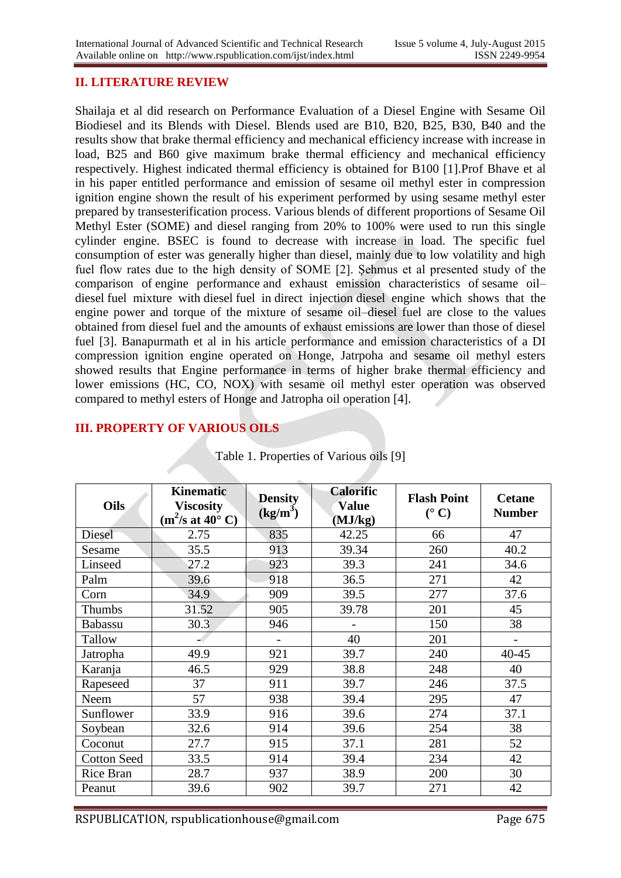#### **II. LITERATURE REVIEW**

Shailaja et al did research on Performance Evaluation of a Diesel Engine with Sesame Oil Biodiesel and its Blends with Diesel. Blends used are B10, B20, B25, B30, B40 and the results show that brake thermal efficiency and mechanical efficiency increase with increase in load, B25 and B60 give maximum brake thermal efficiency and mechanical efficiency respectively. Highest indicated thermal efficiency is obtained for B100 [1].Prof Bhave et al in his paper entitled performance and emission of sesame oil methyl ester in compression ignition engine shown the result of his experiment performed by using sesame methyl ester prepared by transesterification process. Various blends of different proportions of Sesame Oil Methyl Ester (SOME) and diesel ranging from 20% to 100% were used to run this single cylinder engine. BSEC is found to decrease with increase in load. The specific fuel consumption of ester was generally higher than diesel, mainly due to low volatility and high fuel flow rates due to the high density of SOME [2]. Şehmus et al presented study of [the](http://www.sciencedirect.com/science/article/pii/S0960148107003710)  comparison of engine performance [and exhaust emission characteristics of](http://www.sciencedirect.com/science/article/pii/S0960148107003710) sesame oil– diesel [fuel mixture with](http://www.sciencedirect.com/science/article/pii/S0960148107003710) diesel fuel in direct injection diesel engine which shows that the engine power and torque of the mixture of sesame oil–diesel fuel are close to the values obtained from diesel fuel and the amounts of exhaust emissions are lower than those of diesel fuel [3]. Banapurmath et al in his article performance and emission characteristics of a DI compression ignition engine operated on Honge, Jatrpoha and sesame oil methyl esters showed results that Engine performance in terms of higher brake thermal efficiency and lower emissions (HC, CO, NOX) with sesame oil methyl ester operation was observed compared to methyl esters of Honge and Jatropha oil operation [4].

#### **III. PROPERTY OF VARIOUS OILS**

| <b>Oils</b>        | <b>Kinematic</b><br><b>Viscosity</b><br>$(m^2/s \text{ at } 40^\circ \text{ C})$ | <b>Density</b><br>(kg/m <sup>3</sup> ) | <b>Calorific</b><br>Value<br>(MJ/kg) | <b>Flash Point</b><br>$(^{\circ}C)$ | <b>Cetane</b><br><b>Number</b> |
|--------------------|----------------------------------------------------------------------------------|----------------------------------------|--------------------------------------|-------------------------------------|--------------------------------|
| Diesel             | 2.75                                                                             | 835                                    | 42.25                                | 66                                  | 47                             |
| Sesame             | 35.5                                                                             | 913                                    | 39.34                                | 260                                 | 40.2                           |
| Linseed            | 27.2                                                                             | 923                                    | 39.3                                 | 241                                 | 34.6                           |
| Palm               | 39.6                                                                             | 918                                    | 36.5                                 | 271                                 | 42                             |
| Corn               | 34.9                                                                             | 909                                    | 39.5                                 | 277                                 | 37.6                           |
| Thumbs             | 31.52                                                                            | 905                                    | 39.78                                | 201                                 | 45                             |
| <b>Babassu</b>     | 30.3                                                                             | 946                                    |                                      | 150                                 | 38                             |
| Tallow             |                                                                                  |                                        | 40                                   | 201                                 |                                |
| Jatropha           | 49.9                                                                             | 921                                    | 39.7                                 | 240                                 | $40 - 45$                      |
| Karanja            | 46.5                                                                             | 929                                    | 38.8                                 | 248                                 | 40                             |
| Rapeseed           | 37                                                                               | 911                                    | 39.7                                 | 246                                 | 37.5                           |
| Neem               | 57                                                                               | 938                                    | 39.4                                 | 295                                 | 47                             |
| Sunflower          | 33.9                                                                             | 916                                    | 39.6                                 | 274                                 | 37.1                           |
| Soybean            | 32.6                                                                             | 914                                    | 39.6                                 | 254                                 | 38                             |
| Coconut            | 27.7                                                                             | 915                                    | 37.1                                 | 281                                 | 52                             |
| <b>Cotton Seed</b> | 33.5                                                                             | 914                                    | 39.4                                 | 234                                 | 42                             |
| Rice Bran          | 28.7                                                                             | 937                                    | 38.9                                 | 200                                 | 30                             |
| Peanut             | 39.6                                                                             | 902                                    | 39.7                                 | 271                                 | 42                             |

Table 1. Properties of Various oils [9]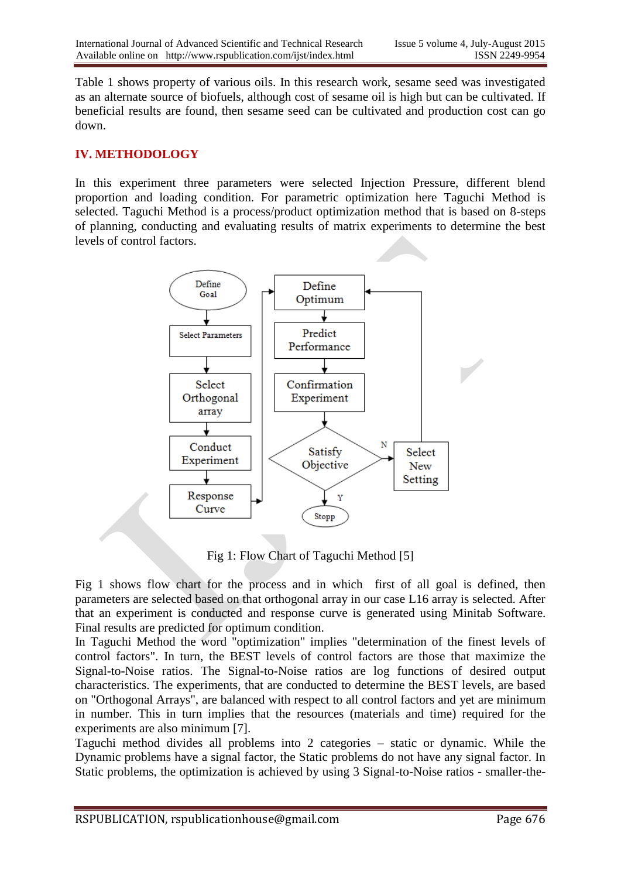Table 1 shows property of various oils. In this research work, sesame seed was investigated as an alternate source of biofuels, although cost of sesame oil is high but can be cultivated. If beneficial results are found, then sesame seed can be cultivated and production cost can go down.

## **IV. METHODOLOGY**

In this experiment three parameters were selected Injection Pressure, different blend proportion and loading condition. For parametric optimization here Taguchi Method is selected. Taguchi Method is a process/product optimization method that is based on 8-steps of planning, conducting and evaluating results of matrix experiments to determine the best levels of control factors.



Fig 1: Flow Chart of Taguchi Method [5]

Fig 1 shows flow chart for the process and in which first of all goal is defined, then parameters are selected based on that orthogonal array in our case L16 array is selected. After that an experiment is conducted and response curve is generated using Minitab Software. Final results are predicted for optimum condition.

In Taguchi Method the word "optimization" implies "determination of the finest levels of control factors". In turn, the BEST levels of control factors are those that maximize the Signal-to-Noise ratios. The Signal-to-Noise ratios are log functions of desired output characteristics. The experiments, that are conducted to determine the BEST levels, are based on "Orthogonal Arrays", are balanced with respect to all control factors and yet are minimum in number. This in turn implies that the resources (materials and time) required for the experiments are also minimum [7].

Taguchi method divides all problems into 2 categories – static or dynamic. While the Dynamic problems have a signal factor, the Static problems do not have any signal factor. In Static problems, the optimization is achieved by using 3 Signal-to-Noise ratios - smaller-the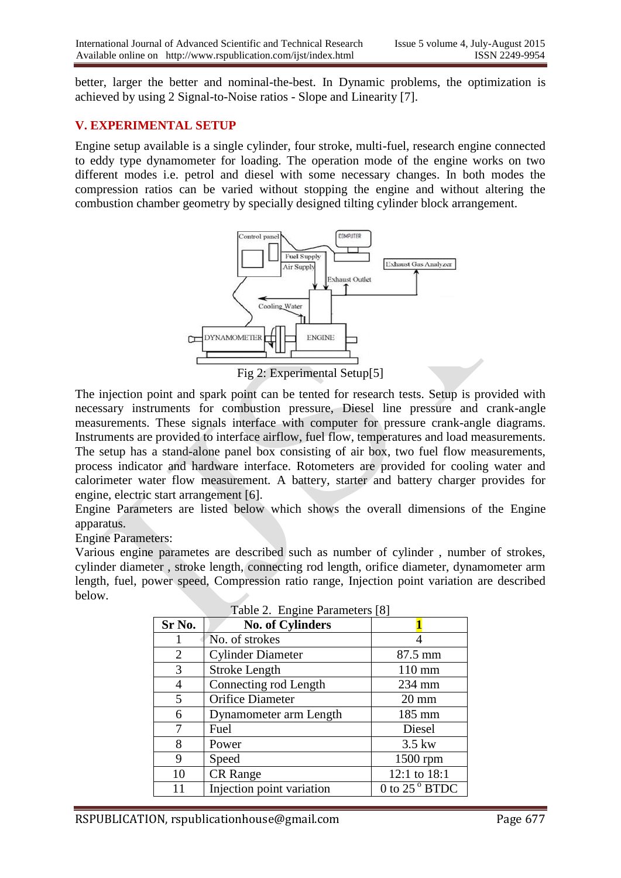better, larger the better and nominal-the-best. In Dynamic problems, the optimization is achieved by using 2 Signal-to-Noise ratios - Slope and Linearity [7].

#### **V. EXPERIMENTAL SETUP**

Engine setup available is a single cylinder, four stroke, multi-fuel, research engine connected to eddy type dynamometer for loading. The operation mode of the engine works on two different modes i.e. petrol and diesel with some necessary changes. In both modes the compression ratios can be varied without stopping the engine and without altering the combustion chamber geometry by specially designed tilting cylinder block arrangement.



The injection point and spark point can be tented for research tests. Setup is provided with necessary instruments for combustion pressure, Diesel line pressure and crank-angle measurements. These signals interface with computer for pressure crank-angle diagrams. Instruments are provided to interface airflow, fuel flow, temperatures and load measurements. The setup has a stand-alone panel box consisting of air box, two fuel flow measurements, process indicator and hardware interface. Rotometers are provided for cooling water and calorimeter water flow measurement. A battery, starter and battery charger provides for engine, electric start arrangement [6].

Engine Parameters are listed below which shows the overall dimensions of the Engine apparatus.

Engine Parameters:

Various engine parametes are described such as number of cylinder , number of strokes, cylinder diameter , stroke length, connecting rod length, orifice diameter, dynamometer arm length, fuel, power speed, Compression ratio range, Injection point variation are described below.

| Sr No.         | <u>————</u><br><b>No. of Cylinders</b> |                           |
|----------------|----------------------------------------|---------------------------|
|                | No. of strokes                         |                           |
| $\overline{2}$ | <b>Cylinder Diameter</b>               | 87.5 mm                   |
| 3              | Stroke Length                          | $110 \text{ mm}$          |
| $\overline{4}$ | Connecting rod Length                  | 234 mm                    |
| 5              | Orifice Diameter                       | $20 \text{ mm}$           |
| 6              | Dynamometer arm Length                 | 185 mm                    |
| 7              | Fuel                                   | Diesel                    |
| 8              | Power                                  | $3.5$ kw                  |
| 9              | Speed                                  | 1500 rpm                  |
| 10             | <b>CR</b> Range                        | 12:1 to 18:1              |
| 11             | Injection point variation              | 0 to 25 $\,^{\circ}$ BTDC |

|  | Table 2. Engine Parameters [8] |  |
|--|--------------------------------|--|
|--|--------------------------------|--|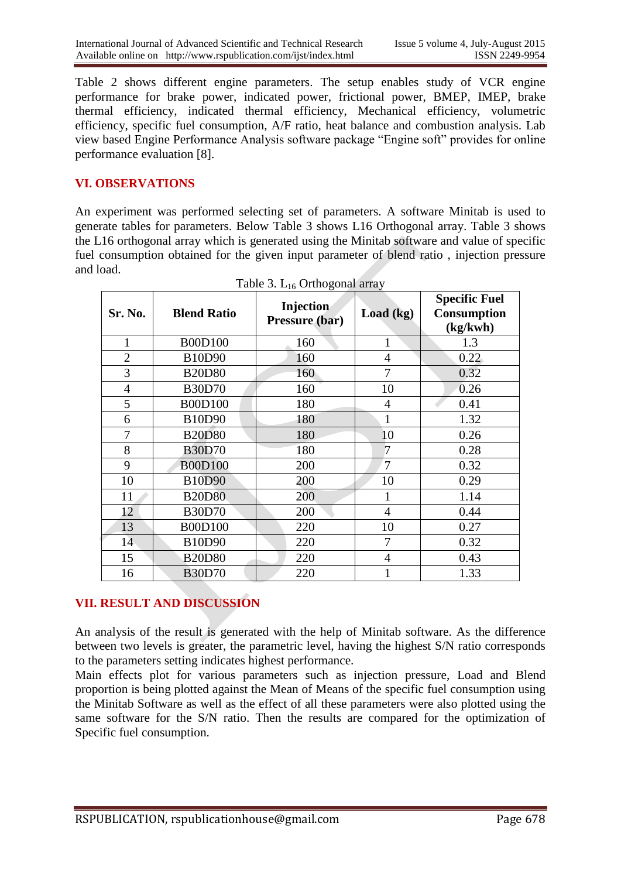Table 2 shows different engine parameters. The setup enables study of VCR engine performance for brake power, indicated power, frictional power, BMEP, IMEP, brake thermal efficiency, indicated thermal efficiency, Mechanical efficiency, volumetric efficiency, specific fuel consumption, A/F ratio, heat balance and combustion analysis. Lab view based Engine Performance Analysis software package "Engine soft" provides for online performance evaluation [8].

### **VI. OBSERVATIONS**

An experiment was performed selecting set of parameters. A software Minitab is used to generate tables for parameters. Below Table 3 shows L16 Orthogonal array. Table 3 shows the L16 orthogonal array which is generated using the Minitab software and value of specific fuel consumption obtained for the given input parameter of blend ratio , injection pressure and load.

| Sr. No.        | <b>Blend Ratio</b> | Injection<br>Pressure (bar) | Load (kg)      | <b>Specific Fuel</b><br><b>Consumption</b><br>(kg/kwh) |
|----------------|--------------------|-----------------------------|----------------|--------------------------------------------------------|
| 1              | <b>B00D100</b>     | 160                         | 1              | 1.3                                                    |
| $\overline{2}$ | <b>B10D90</b>      | 160                         | $\overline{4}$ | 0.22                                                   |
| 3              | <b>B20D80</b>      | 160                         |                | 0.32                                                   |
| $\overline{4}$ | <b>B30D70</b>      | 160                         | 10             | 0.26                                                   |
| 5              | <b>B00D100</b>     | 180                         | $\overline{4}$ | 0.41                                                   |
| 6              | <b>B10D90</b>      | 180                         |                | 1.32                                                   |
| 7              | <b>B20D80</b>      | 180                         | 10             | 0.26                                                   |
| 8              | <b>B30D70</b>      | 180                         | 7              | 0.28                                                   |
| 9              | <b>B00D100</b>     | 200                         | $\overline{7}$ | 0.32                                                   |
| 10             | <b>B10D90</b>      | 200                         | 10             | 0.29                                                   |
| 11             | <b>B20D80</b>      | 200                         |                | 1.14                                                   |
| 12             | <b>B30D70</b>      | 200                         | $\overline{4}$ | 0.44                                                   |
| 13             | <b>B00D100</b>     | 220                         | 10             | 0.27                                                   |
| 14             | <b>B10D90</b>      | 220                         | 7              | 0.32                                                   |
| 15             | <b>B20D80</b>      | 220                         | $\overline{4}$ | 0.43                                                   |
| 16             | <b>B30D70</b>      | 220                         |                | 1.33                                                   |

Table 3.  $L_{16}$  Orthogonal array

## **VII. RESULT AND DISCUSSION**

An analysis of the result is generated with the help of Minitab software. As the difference between two levels is greater, the parametric level, having the highest S/N ratio corresponds to the parameters setting indicates highest performance.

Main effects plot for various parameters such as injection pressure, Load and Blend proportion is being plotted against the Mean of Means of the specific fuel consumption using the Minitab Software as well as the effect of all these parameters were also plotted using the same software for the S/N ratio. Then the results are compared for the optimization of Specific fuel consumption.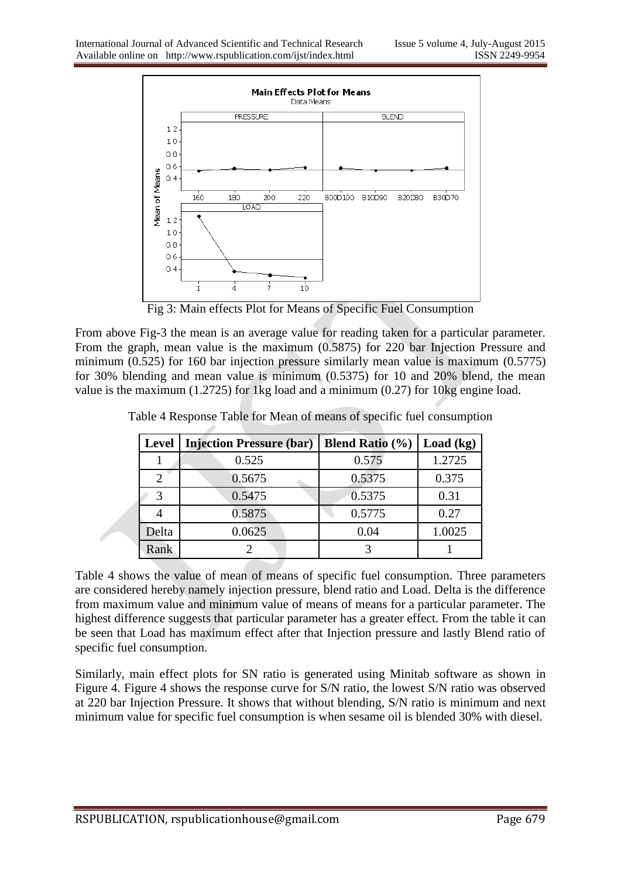

Fig 3: Main effects Plot for Means of Specific Fuel Consumption

From above Fig-3 the mean is an average value for reading taken for a particular parameter. From the graph, mean value is the maximum (0.5875) for 220 bar Injection Pressure and minimum (0.525) for 160 bar injection pressure similarly mean value is maximum (0.5775) for 30% blending and mean value is minimum (0.5375) for 10 and 20% blend, the mean value is the maximum (1.2725) for 1kg load and a minimum (0.27) for 10kg engine load.

| <b>Level</b> | <b>Injection Pressure (bar)</b> | <b>Blend Ratio</b> $(\% )$ | Load (kg) |
|--------------|---------------------------------|----------------------------|-----------|
|              | 0.525                           | 0.575                      | 1.2725    |
|              | 0.5675                          | 0.5375                     | 0.375     |
|              | 0.5475                          | 0.5375                     | 0.31      |
|              | 0.5875                          | 0.5775                     | 0.27      |
| Delta        | 0.0625                          | 0.04                       | 1.0025    |
| Rank         |                                 |                            |           |

Table 4 Response Table for Mean of means of specific fuel consumption

Table 4 shows the value of mean of means of specific fuel consumption. Three parameters are considered hereby namely injection pressure, blend ratio and Load. Delta is the difference from maximum value and minimum value of means of means for a particular parameter. The highest difference suggests that particular parameter has a greater effect. From the table it can be seen that Load has maximum effect after that Injection pressure and lastly Blend ratio of specific fuel consumption.

Similarly, main effect plots for SN ratio is generated using Minitab software as shown in Figure 4. Figure 4 shows the response curve for S/N ratio, the lowest S/N ratio was observed at 220 bar Injection Pressure. It shows that without blending, S/N ratio is minimum and next minimum value for specific fuel consumption is when sesame oil is blended 30% with diesel.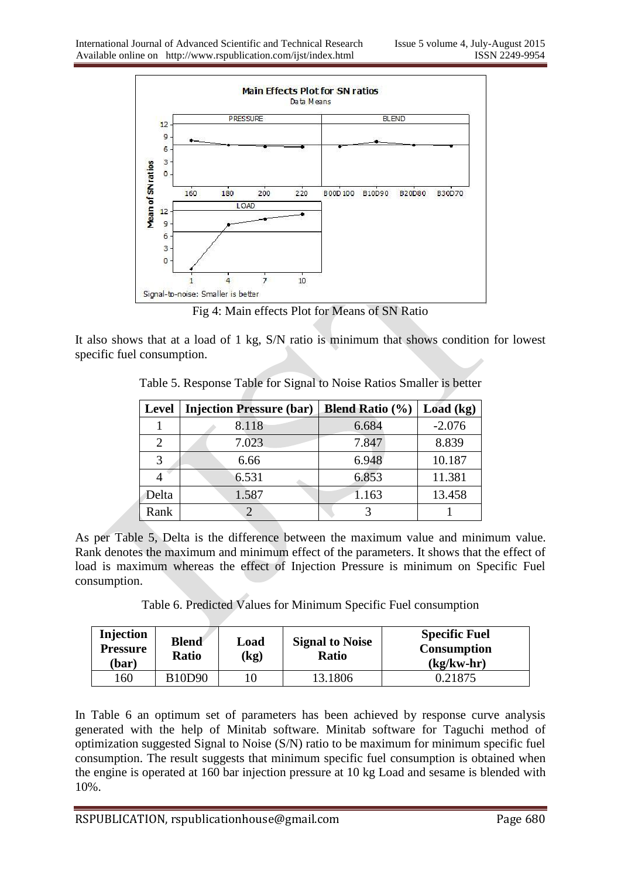

Fig 4: Main effects Plot for Means of SN Ratio

It also shows that at a load of 1 kg, S/N ratio is minimum that shows condition for lowest specific fuel consumption.

Table 5. Response Table for Signal to Noise Ratios Smaller is better

| <b>Level</b>                | <b>Injection Pressure (bar)</b> | <b>Blend Ratio</b> $(\% )$ | Load (kg) |
|-----------------------------|---------------------------------|----------------------------|-----------|
|                             | 8.118                           | 6.684                      | $-2.076$  |
| $\mathcal{D}_{\mathcal{L}}$ | 7.023                           | 7.847                      | 8.839     |
| 3                           | 6.66                            | 6.948                      | 10.187    |
|                             | 6.531                           | 6.853                      | 11.381    |
| Delta                       | 1.587                           | 1.163                      | 13.458    |
| Rank                        | 2                               |                            |           |

As per Table 5, Delta is the difference between the maximum value and minimum value. Rank denotes the maximum and minimum effect of the parameters. It shows that the effect of load is maximum whereas the effect of Injection Pressure is minimum on Specific Fuel consumption.

Table 6. Predicted Values for Minimum Specific Fuel consumption

| <b>Injection</b><br><b>Pressure</b><br>(bar) | <b>Blend</b><br><b>Ratio</b> | Load<br>$\left( \mathrm{kg}\right)$ | <b>Signal to Noise</b><br><b>Ratio</b> | <b>Specific Fuel</b><br><b>Consumption</b><br>$(kg/kw-hr)$ |
|----------------------------------------------|------------------------------|-------------------------------------|----------------------------------------|------------------------------------------------------------|
| 160                                          | <b>B10D90</b>                |                                     | 13.1806                                | 0.21875                                                    |

In Table 6 an optimum set of parameters has been achieved by response curve analysis generated with the help of Minitab software. Minitab software for Taguchi method of optimization suggested Signal to Noise (S/N) ratio to be maximum for minimum specific fuel consumption. The result suggests that minimum specific fuel consumption is obtained when the engine is operated at 160 bar injection pressure at 10 kg Load and sesame is blended with 10%.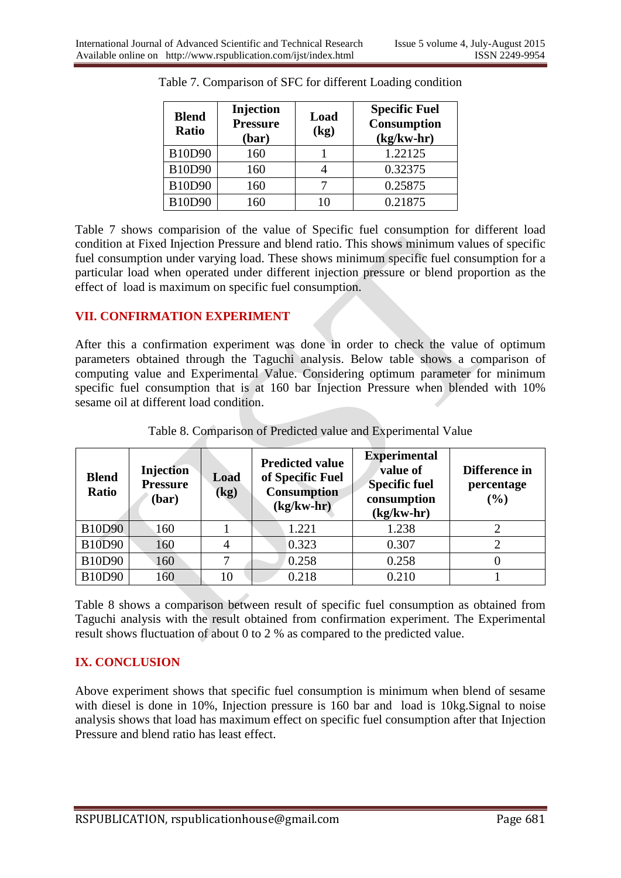| <b>Blend</b><br><b>Ratio</b> | Injection<br><b>Pressure</b><br>(bar) | Load<br>(kg) | <b>Specific Fuel</b><br><b>Consumption</b><br>$(kg/kw-hr)$ |
|------------------------------|---------------------------------------|--------------|------------------------------------------------------------|
| <b>B10D90</b>                | 160                                   |              | 1.22125                                                    |
| <b>B10D90</b>                | 160                                   |              | 0.32375                                                    |
| <b>B10D90</b>                | 160                                   |              | 0.25875                                                    |
| <b>B10D90</b>                | 160                                   | 10           | 0.21875                                                    |

|  | Table 7. Comparison of SFC for different Loading condition |
|--|------------------------------------------------------------|
|  |                                                            |

Table 7 shows comparision of the value of Specific fuel consumption for different load condition at Fixed Injection Pressure and blend ratio. This shows minimum values of specific fuel consumption under varying load. These shows minimum specific fuel consumption for a particular load when operated under different injection pressure or blend proportion as the effect of load is maximum on specific fuel consumption.

#### **VII. CONFIRMATION EXPERIMENT**

After this a confirmation experiment was done in order to check the value of optimum parameters obtained through the Taguchi analysis. Below table shows a comparison of computing value and Experimental Value. Considering optimum parameter for minimum specific fuel consumption that is at 160 bar Injection Pressure when blended with 10% sesame oil at different load condition.

| <b>Blend</b><br><b>Ratio</b> | <b>Injection</b><br><b>Pressure</b><br>(bar) | Load<br>$\left(\mathrm{kg}\right)$ | <b>Predicted value</b><br>of Specific Fuel<br><b>Consumption</b><br>$(kg/kw-hr)$ | <b>Experimental</b><br>value of<br><b>Specific fuel</b><br>consumption<br>$(kg/kw-hr)$ | Difference in<br>percentage<br>(%) |
|------------------------------|----------------------------------------------|------------------------------------|----------------------------------------------------------------------------------|----------------------------------------------------------------------------------------|------------------------------------|
| <b>B10D90</b>                | 160                                          |                                    | 1.221                                                                            | 1.238                                                                                  |                                    |
| <b>B10D90</b>                | 160                                          | $\overline{4}$                     | 0.323                                                                            | 0.307                                                                                  |                                    |
| <b>B10D90</b>                | 160                                          |                                    | 0.258                                                                            | 0.258                                                                                  |                                    |
| <b>B10D90</b>                | 160                                          | 10                                 | 0.218                                                                            | 0.210                                                                                  |                                    |

Table 8. Comparison of Predicted value and Experimental Value

Table 8 shows a comparison between result of specific fuel consumption as obtained from Taguchi analysis with the result obtained from confirmation experiment. The Experimental result shows fluctuation of about 0 to 2 % as compared to the predicted value.

#### **IX. CONCLUSION**

Above experiment shows that specific fuel consumption is minimum when blend of sesame with diesel is done in 10%, Injection pressure is 160 bar and load is 10kg.Signal to noise analysis shows that load has maximum effect on specific fuel consumption after that Injection Pressure and blend ratio has least effect.